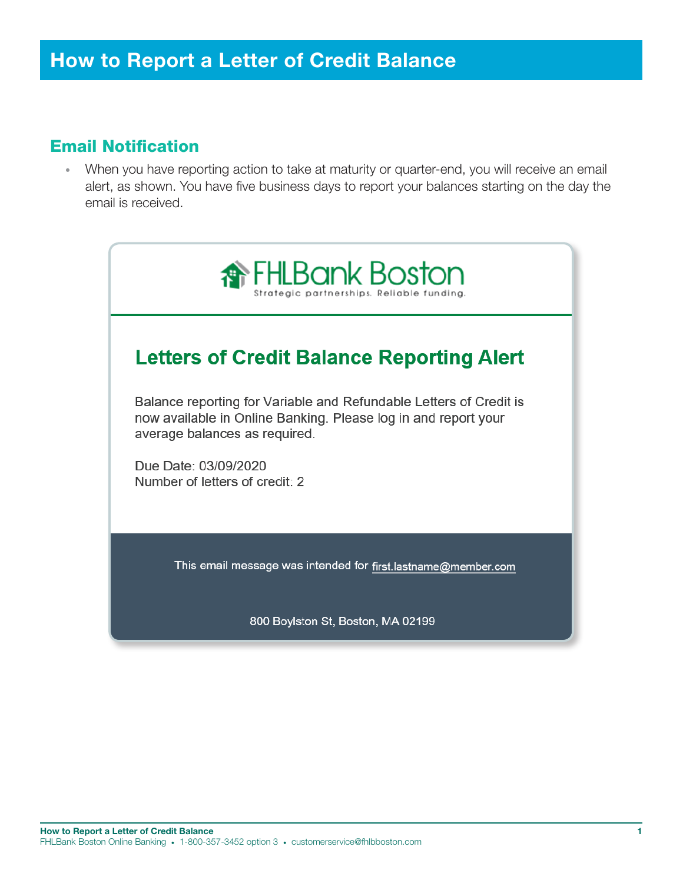### Email Notification

• When you have reporting action to take at maturity or quarter-end, you will receive an email alert, as shown. You have five business days to report your balances starting on the day the email is received.



800 Boylston St, Boston, **MA** 02199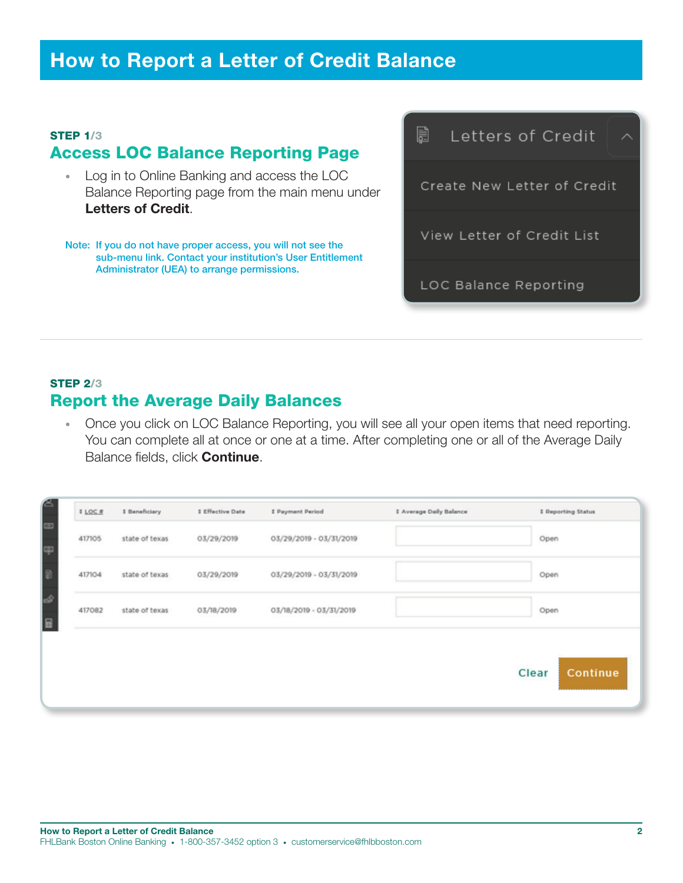## How to Report a Letter of Credit Balance

#### STEP 1/3 Access LOC Balance Reporting Page

- Log in to Online Banking and access the LOC Balance Reporting page from the main menu under Letters of Credit.
- Note: If you do not have proper access, you will not see the sub-menu link. Contact your institution's User Entitlement Administrator (UEA) to arrange permissions.

圓 Letters of Credit Create New Letter of Credit View Letter of Credit List LOC Balance Reporting

### STEP 2/3 Report the Average Daily Balances

• Once you click on LOC Balance Reporting, you will see all your open items that need reporting. You can complete all at once or one at a time. After completing one or all of the Average Daily Balance fields, click **Continue**.

| state of texas | 03/29/2019 | 03/29/2019 - 03/31/2019 | Open              |
|----------------|------------|-------------------------|-------------------|
| state of texas | 03/29/2019 | 03/29/2019 - 03/31/2019 | Open              |
| state of texas | 03/18/2019 | 03/18/2019 - 03/31/2019 | Open              |
|                |            |                         | Clear<br>Continue |
|                |            |                         |                   |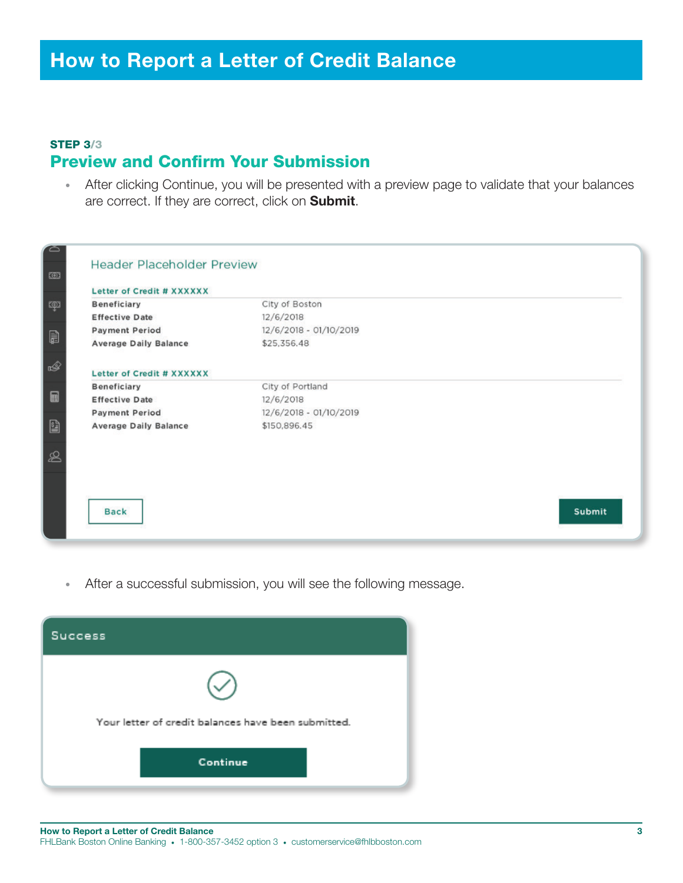#### STEP 3/3 Preview and Confirm Your Submission

• After clicking Continue, you will be presented with a preview page to validate that your balances are correct. If they are correct, click on **Submit**.

| $\Box$         |                              | <b>Header Placeholder Preview</b> |        |  |  |  |
|----------------|------------------------------|-----------------------------------|--------|--|--|--|
| $\circledcirc$ | Letter of Credit # XXXXXX    |                                   |        |  |  |  |
| ক্সে           | <b>Beneficiary</b>           | City of Boston                    |        |  |  |  |
|                | <b>Effective Date</b>        | 12/6/2018                         |        |  |  |  |
|                | <b>Payment Period</b>        | 12/6/2018 - 01/10/2019            |        |  |  |  |
| B              | <b>Average Daily Balance</b> | \$25,356.48                       |        |  |  |  |
|                |                              |                                   |        |  |  |  |
| ☝              | Letter of Credit # XXXXXX    |                                   |        |  |  |  |
|                | <b>Beneficiary</b>           | City of Portland                  |        |  |  |  |
| $\square$      | <b>Effective Date</b>        | 12/6/2018                         |        |  |  |  |
|                | <b>Payment Period</b>        | 12/6/2018 - 01/10/2019            |        |  |  |  |
| g              | <b>Average Daily Balance</b> | \$150,896.45                      |        |  |  |  |
|                |                              |                                   |        |  |  |  |
| $\mathscr{L}$  |                              |                                   |        |  |  |  |
|                |                              |                                   |        |  |  |  |
|                |                              |                                   |        |  |  |  |
|                |                              |                                   |        |  |  |  |
|                | <b>Back</b>                  |                                   | Submit |  |  |  |
|                |                              |                                   |        |  |  |  |
|                |                              |                                   |        |  |  |  |

• After a successful submission, you will see the following message.